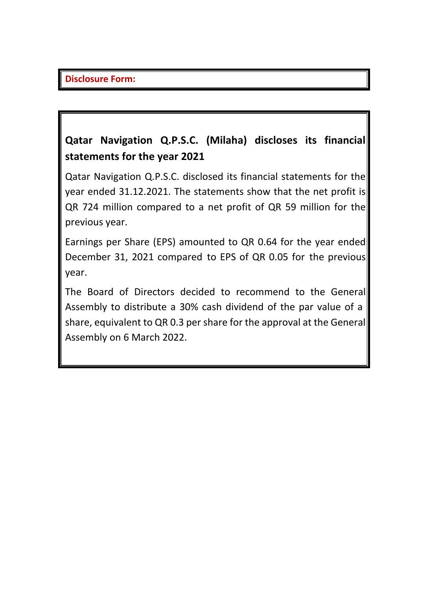## **Qatar Navigation Q.P.S.C. (Milaha) discloses its financial statements for the year 2021**

Qatar Navigation Q.P.S.C. disclosed its financial statements for the year ended 31.12.2021. The statements show that the net profit is QR 724 million compared to a net profit of QR 59 million for the previous year.

Earnings per Share (EPS) amounted to QR 0.64 for the year ended December 31, 2021 compared to EPS of QR 0.05 for the previous year.

The Board of Directors decided to recommend to the General Assembly to distribute a 30% cash dividend of the par value of a share, equivalent to QR 0.3 per share for the approval at the General Assembly on 6 March 2022.